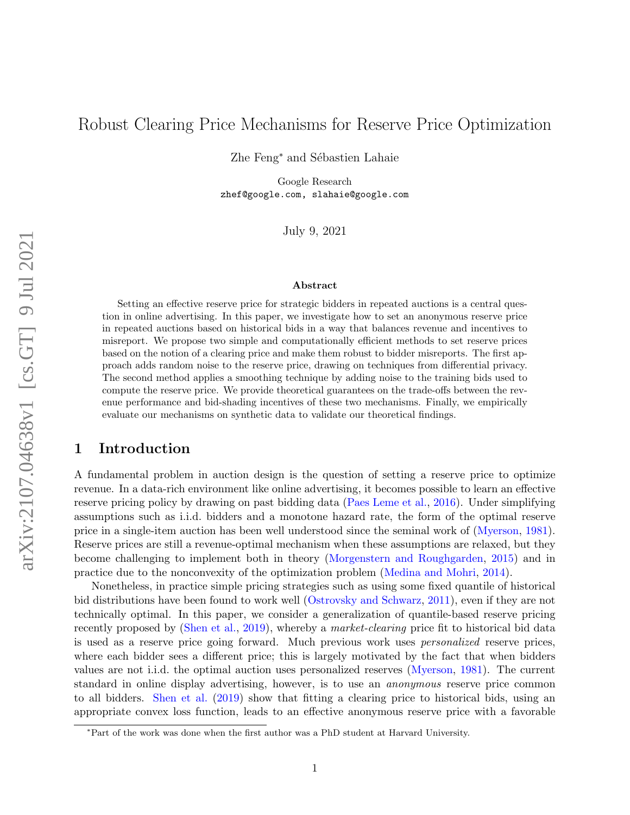# Robust Clearing Price Mechanisms for Reserve Price Optimization

Zhe Feng<sup>∗</sup> and Sébastien Lahaie

Google Research zhef@google.com, slahaie@google.com

July 9, 2021

#### Abstract

Setting an effective reserve price for strategic bidders in repeated auctions is a central question in online advertising. In this paper, we investigate how to set an anonymous reserve price in repeated auctions based on historical bids in a way that balances revenue and incentives to misreport. We propose two simple and computationally efficient methods to set reserve prices based on the notion of a clearing price and make them robust to bidder misreports. The first approach adds random noise to the reserve price, drawing on techniques from differential privacy. The second method applies a smoothing technique by adding noise to the training bids used to compute the reserve price. We provide theoretical guarantees on the trade-offs between the revenue performance and bid-shading incentives of these two mechanisms. Finally, we empirically evaluate our mechanisms on synthetic data to validate our theoretical findings.

## 1 Introduction

A fundamental problem in auction design is the question of setting a reserve price to optimize revenue. In a data-rich environment like online advertising, it becomes possible to learn an effective reserve pricing policy by drawing on past bidding data [\(Paes Leme et al.,](#page-12-0) [2016\)](#page-12-0). Under simplifying assumptions such as i.i.d. bidders and a monotone hazard rate, the form of the optimal reserve price in a single-item auction has been well understood since the seminal work of [\(Myerson,](#page-12-1) [1981\)](#page-12-1). Reserve prices are still a revenue-optimal mechanism when these assumptions are relaxed, but they become challenging to implement both in theory [\(Morgenstern and Roughgarden,](#page-12-2) [2015\)](#page-12-2) and in practice due to the nonconvexity of the optimization problem [\(Medina and Mohri,](#page-11-0) [2014\)](#page-11-0).

Nonetheless, in practice simple pricing strategies such as using some fixed quantile of historical bid distributions have been found to work well [\(Ostrovsky and Schwarz,](#page-12-3) [2011\)](#page-12-3), even if they are not technically optimal. In this paper, we consider a generalization of quantile-based reserve pricing recently proposed by [\(Shen et al.,](#page-12-4) [2019\)](#page-12-4), whereby a *market-clearing* price fit to historical bid data is used as a reserve price going forward. Much previous work uses personalized reserve prices, where each bidder sees a different price; this is largely motivated by the fact that when bidders values are not i.i.d. the optimal auction uses personalized reserves [\(Myerson,](#page-12-1) [1981\)](#page-12-1). The current standard in online display advertising, however, is to use an anonymous reserve price common to all bidders. [Shen et al.](#page-12-4) [\(2019\)](#page-12-4) show that fitting a clearing price to historical bids, using an appropriate convex loss function, leads to an effective anonymous reserve price with a favorable

<sup>∗</sup>Part of the work was done when the first author was a PhD student at Harvard University.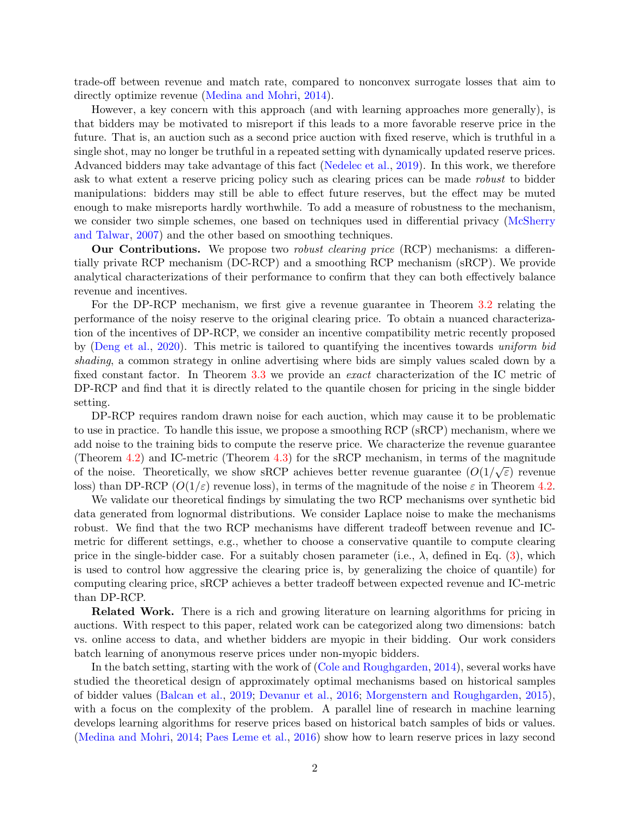trade-off between revenue and match rate, compared to nonconvex surrogate losses that aim to directly optimize revenue [\(Medina and Mohri,](#page-11-0) [2014\)](#page-11-0).

However, a key concern with this approach (and with learning approaches more generally), is that bidders may be motivated to misreport if this leads to a more favorable reserve price in the future. That is, an auction such as a second price auction with fixed reserve, which is truthful in a single shot, may no longer be truthful in a repeated setting with dynamically updated reserve prices. Advanced bidders may take advantage of this fact [\(Nedelec et al.,](#page-12-5) [2019\)](#page-12-5). In this work, we therefore ask to what extent a reserve pricing policy such as clearing prices can be made robust to bidder manipulations: bidders may still be able to effect future reserves, but the effect may be muted enough to make misreports hardly worthwhile. To add a measure of robustness to the mechanism, we consider two simple schemes, one based on techniques used in differential privacy [\(McSherry](#page-11-1) [and Talwar,](#page-11-1) [2007\)](#page-11-1) and the other based on smoothing techniques.

**Our Contributions.** We propose two *robust clearing price* (RCP) mechanisms: a differentially private RCP mechanism (DC-RCP) and a smoothing RCP mechanism (sRCP). We provide analytical characterizations of their performance to confirm that they can both effectively balance revenue and incentives.

For the DP-RCP mechanism, we first give a revenue guarantee in Theorem [3.2](#page-5-0) relating the performance of the noisy reserve to the original clearing price. To obtain a nuanced characterization of the incentives of DP-RCP, we consider an incentive compatibility metric recently proposed by [\(Deng et al.,](#page-11-2) [2020\)](#page-11-2). This metric is tailored to quantifying the incentives towards uniform bid shading, a common strategy in online advertising where bids are simply values scaled down by a fixed constant factor. In Theorem [3.3](#page-6-0) we provide an exact characterization of the IC metric of DP-RCP and find that it is directly related to the quantile chosen for pricing in the single bidder setting.

DP-RCP requires random drawn noise for each auction, which may cause it to be problematic to use in practice. To handle this issue, we propose a smoothing RCP (sRCP) mechanism, where we add noise to the training bids to compute the reserve price. We characterize the revenue guarantee (Theorem [4.2\)](#page-7-0) and IC-metric (Theorem [4.3\)](#page-8-0) for the sRCP mechanism, in terms of the magnitude of the noise. Theoretically, we show sRCP achieves better revenue guarantee  $(O(1/\sqrt{\varepsilon}))$  revenue loss) than DP-RCP ( $O(1/\varepsilon)$  revenue loss), in terms of the magnitude of the noise  $\varepsilon$  in Theorem [4.2.](#page-7-0)

We validate our theoretical findings by simulating the two RCP mechanisms over synthetic bid data generated from lognormal distributions. We consider Laplace noise to make the mechanisms robust. We find that the two RCP mechanisms have different tradeoff between revenue and ICmetric for different settings, e.g., whether to choose a conservative quantile to compute clearing price in the single-bidder case. For a suitably chosen parameter (i.e.,  $\lambda$ , defined in Eq. [\(3\)](#page-4-0), which is used to control how aggressive the clearing price is, by generalizing the choice of quantile) for computing clearing price, sRCP achieves a better tradeoff between expected revenue and IC-metric than DP-RCP.

Related Work. There is a rich and growing literature on learning algorithms for pricing in auctions. With respect to this paper, related work can be categorized along two dimensions: batch vs. online access to data, and whether bidders are myopic in their bidding. Our work considers batch learning of anonymous reserve prices under non-myopic bidders.

In the batch setting, starting with the work of [\(Cole and Roughgarden,](#page-10-0) [2014\)](#page-10-0), several works have studied the theoretical design of approximately optimal mechanisms based on historical samples of bidder values [\(Balcan et al.,](#page-10-1) [2019;](#page-10-1) [Devanur et al.,](#page-11-3) [2016;](#page-11-3) [Morgenstern and Roughgarden,](#page-12-2) [2015\)](#page-12-2), with a focus on the complexity of the problem. A parallel line of research in machine learning develops learning algorithms for reserve prices based on historical batch samples of bids or values. [\(Medina and Mohri,](#page-11-0) [2014;](#page-11-0) [Paes Leme et al.,](#page-12-0) [2016\)](#page-12-0) show how to learn reserve prices in lazy second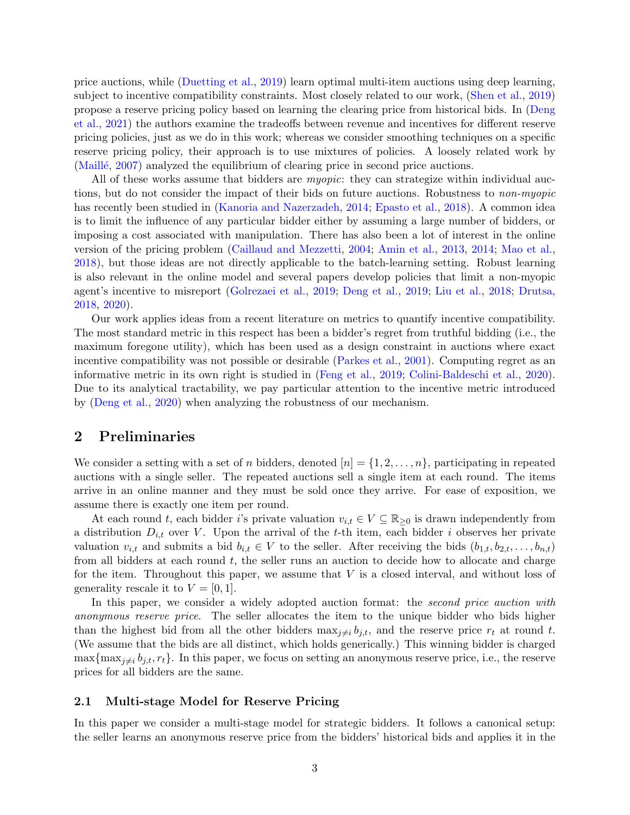price auctions, while [\(Duetting et al.,](#page-11-4) [2019\)](#page-11-4) learn optimal multi-item auctions using deep learning, subject to incentive compatibility constraints. Most closely related to our work, [\(Shen et al.,](#page-12-4) [2019\)](#page-12-4) propose a reserve pricing policy based on learning the clearing price from historical bids. In [\(Deng](#page-11-5) [et al.,](#page-11-5) [2021\)](#page-11-5) the authors examine the tradeoffs between revenue and incentives for different reserve pricing policies, just as we do in this work; whereas we consider smoothing techniques on a specific reserve pricing policy, their approach is to use mixtures of policies. A loosely related work by (Maillé, [2007\)](#page-11-6) analyzed the equilibrium of clearing price in second price auctions.

All of these works assume that bidders are *myopic*: they can strategize within individual auctions, but do not consider the impact of their bids on future auctions. Robustness to non-myopic has recently been studied in [\(Kanoria and Nazerzadeh,](#page-11-7) [2014;](#page-11-7) [Epasto et al.,](#page-11-8) [2018\)](#page-11-8). A common idea is to limit the influence of any particular bidder either by assuming a large number of bidders, or imposing a cost associated with manipulation. There has also been a lot of interest in the online version of the pricing problem [\(Caillaud and Mezzetti,](#page-10-2) [2004;](#page-10-2) [Amin et al.,](#page-10-3) [2013,](#page-10-3) [2014;](#page-10-4) [Mao et al.,](#page-11-9) [2018\)](#page-11-9), but those ideas are not directly applicable to the batch-learning setting. Robust learning is also relevant in the online model and several papers develop policies that limit a non-myopic agent's incentive to misreport [\(Golrezaei et al.,](#page-11-10) [2019;](#page-11-10) [Deng et al.,](#page-11-11) [2019;](#page-11-11) [Liu et al.,](#page-11-12) [2018;](#page-11-12) [Drutsa,](#page-11-13) [2018,](#page-11-13) [2020\)](#page-11-14).

Our work applies ideas from a recent literature on metrics to quantify incentive compatibility. The most standard metric in this respect has been a bidder's regret from truthful bidding (i.e., the maximum foregone utility), which has been used as a design constraint in auctions where exact incentive compatibility was not possible or desirable [\(Parkes et al.,](#page-12-6) [2001\)](#page-12-6). Computing regret as an informative metric in its own right is studied in [\(Feng et al.,](#page-11-15) [2019;](#page-11-15) [Colini-Baldeschi et al.,](#page-11-16) [2020\)](#page-11-16). Due to its analytical tractability, we pay particular attention to the incentive metric introduced by [\(Deng et al.,](#page-11-2) [2020\)](#page-11-2) when analyzing the robustness of our mechanism.

### 2 Preliminaries

We consider a setting with a set of n bidders, denoted  $[n] = \{1, 2, \ldots, n\}$ , participating in repeated auctions with a single seller. The repeated auctions sell a single item at each round. The items arrive in an online manner and they must be sold once they arrive. For ease of exposition, we assume there is exactly one item per round.

At each round t, each bidder i's private valuation  $v_{i,t} \in V \subseteq \mathbb{R}_{\geq 0}$  is drawn independently from a distribution  $D_{i,t}$  over V. Upon the arrival of the t-th item, each bidder i observes her private valuation  $v_{i,t}$  and submits a bid  $b_{i,t} \in V$  to the seller. After receiving the bids  $(b_{1,t}, b_{2,t}, \ldots, b_{n,t})$ from all bidders at each round  $t$ , the seller runs an auction to decide how to allocate and charge for the item. Throughout this paper, we assume that  $V$  is a closed interval, and without loss of generality rescale it to  $V = [0, 1]$ .

In this paper, we consider a widely adopted auction format: the *second price auction with* anonymous reserve price. The seller allocates the item to the unique bidder who bids higher than the highest bid from all the other bidders  $\max_{j\neq i} b_{j,t}$ , and the reserve price  $r_t$  at round t. (We assume that the bids are all distinct, which holds generically.) This winning bidder is charged  $\max\{\max_{j\neq i} b_{j,t}, r_t\}.$  In this paper, we focus on setting an anonymous reserve price, i.e., the reserve prices for all bidders are the same.

### 2.1 Multi-stage Model for Reserve Pricing

In this paper we consider a multi-stage model for strategic bidders. It follows a canonical setup: the seller learns an anonymous reserve price from the bidders' historical bids and applies it in the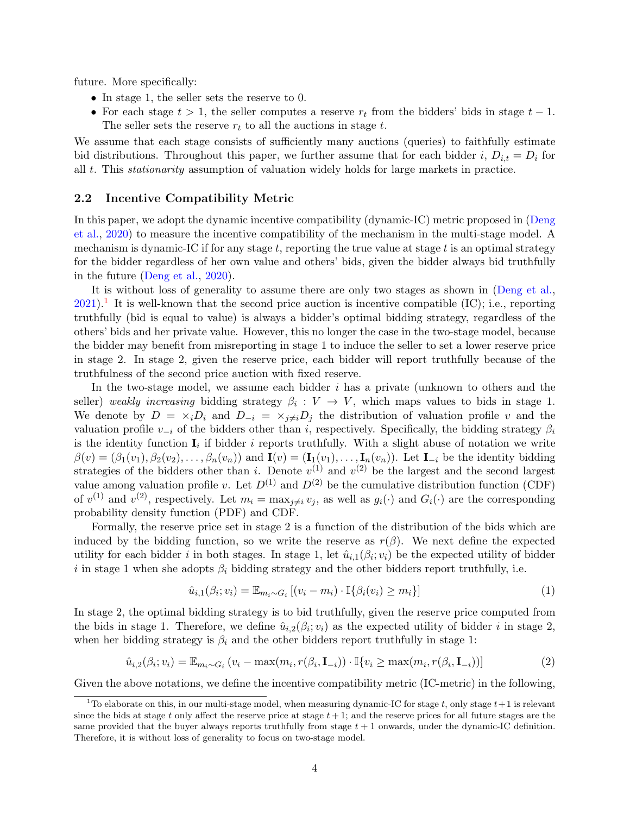future. More specifically:

- In stage 1, the seller sets the reserve to 0.
- For each stage  $t > 1$ , the seller computes a reserve  $r_t$  from the bidders' bids in stage  $t 1$ . The seller sets the reserve  $r_t$  to all the auctions in stage  $t$ .

We assume that each stage consists of sufficiently many auctions (queries) to faithfully estimate bid distributions. Throughout this paper, we further assume that for each bidder i,  $D_{i,t} = D_i$  for all t. This stationarity assumption of valuation widely holds for large markets in practice.

### 2.2 Incentive Compatibility Metric

In this paper, we adopt the dynamic incentive compatibility (dynamic-IC) metric proposed in [\(Deng](#page-11-2) [et al.,](#page-11-2) [2020\)](#page-11-2) to measure the incentive compatibility of the mechanism in the multi-stage model. A mechanism is dynamic-IC if for any stage  $t$ , reporting the true value at stage  $t$  is an optimal strategy for the bidder regardless of her own value and others' bids, given the bidder always bid truthfully in the future [\(Deng et al.,](#page-11-2) [2020\)](#page-11-2).

It is without loss of generality to assume there are only two stages as shown in [\(Deng et al.,](#page-11-5)  $2021$  $2021$ ).<sup>1</sup> It is well-known that the second price auction is incentive compatible (IC); i.e., reporting truthfully (bid is equal to value) is always a bidder's optimal bidding strategy, regardless of the others' bids and her private value. However, this no longer the case in the two-stage model, because the bidder may benefit from misreporting in stage 1 to induce the seller to set a lower reserve price in stage 2. In stage 2, given the reserve price, each bidder will report truthfully because of the truthfulness of the second price auction with fixed reserve.

In the two-stage model, we assume each bidder  $i$  has a private (unknown to others and the seller) weakly increasing bidding strategy  $\beta_i: V \to V$ , which maps values to bids in stage 1. We denote by  $D = \times_i D_i$  and  $D_{-i} = \times_{j \neq i} D_j$  the distribution of valuation profile v and the valuation profile  $v_{-i}$  of the bidders other than i, respectively. Specifically, the bidding strategy  $\beta_i$ is the identity function  $I_i$  if bidder i reports truthfully. With a slight abuse of notation we write  $\beta(v) = (\beta_1(v_1), \beta_2(v_2), \dots, \beta_n(v_n))$  and  $\mathbf{I}(v) = (\mathbf{I}_1(v_1), \dots, \mathbf{I}_n(v_n))$ . Let  $\mathbf{I}_{-i}$  be the identity bidding strategies of the bidders other than i. Denote  $v^{(1)}$  and  $v^{(2)}$  be the largest and the second largest value among valuation profile v. Let  $D^{(1)}$  and  $D^{(2)}$  be the cumulative distribution function (CDF) of  $v^{(1)}$  and  $v^{(2)}$ , respectively. Let  $m_i = \max_{j \neq i} v_j$ , as well as  $g_i(\cdot)$  and  $G_i(\cdot)$  are the corresponding probability density function (PDF) and CDF.

Formally, the reserve price set in stage 2 is a function of the distribution of the bids which are induced by the bidding function, so we write the reserve as  $r(\beta)$ . We next define the expected utility for each bidder i in both stages. In stage 1, let  $\hat{u}_{i,1}(\beta_i; v_i)$  be the expected utility of bidder i in stage 1 when she adopts  $\beta_i$  bidding strategy and the other bidders report truthfully, i.e.

$$
\hat{u}_{i,1}(\beta_i; v_i) = \mathbb{E}_{m_i \sim G_i} [(v_i - m_i) \cdot \mathbb{I}\{\beta_i(v_i) \ge m_i\}] \tag{1}
$$

In stage 2, the optimal bidding strategy is to bid truthfully, given the reserve price computed from the bids in stage 1. Therefore, we define  $\hat{u}_{i,2}(\beta_i; v_i)$  as the expected utility of bidder i in stage 2, when her bidding strategy is  $\beta_i$  and the other bidders report truthfully in stage 1:

$$
\hat{u}_{i,2}(\beta_i; v_i) = \mathbb{E}_{m_i \sim G_i} \left( v_i - \max(m_i, r(\beta_i, \mathbf{I}_{-i})) \cdot \mathbb{I}\{v_i \ge \max(m_i, r(\beta_i, \mathbf{I}_{-i}))\right]
$$
\n(2)

Given the above notations, we define the incentive compatibility metric (IC-metric) in the following,

<span id="page-3-0"></span><sup>&</sup>lt;sup>1</sup>To elaborate on this, in our multi-stage model, when measuring dynamic-IC for stage t, only stage  $t+1$  is relevant since the bids at stage t only affect the reserve price at stage  $t + 1$ ; and the reserve prices for all future stages are the same provided that the buyer always reports truthfully from stage  $t + 1$  onwards, under the dynamic-IC definition. Therefore, it is without loss of generality to focus on two-stage model.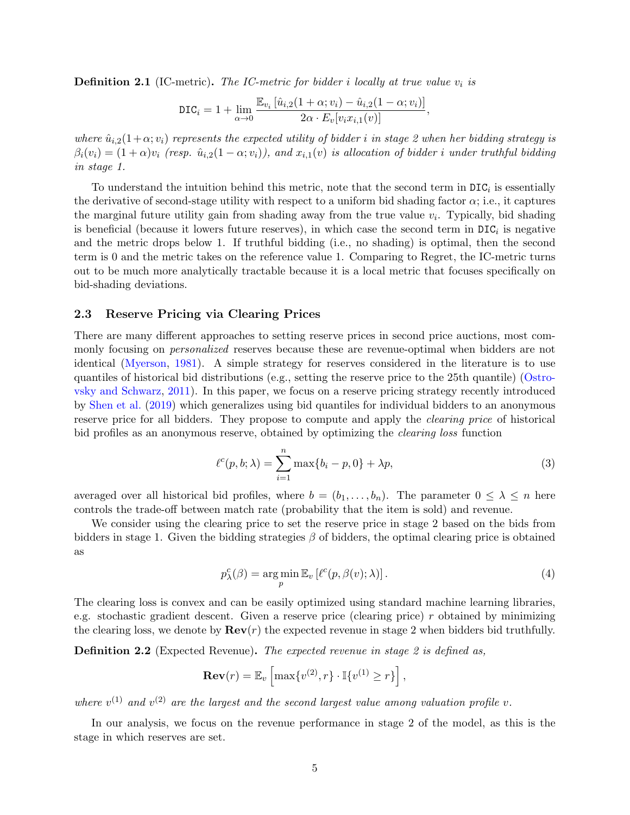<span id="page-4-2"></span>**Definition 2.1** (IC-metric). The IC-metric for bidder i locally at true value  $v_i$  is

$$
\text{DIC}_i = 1 + \lim_{\alpha \to 0} \frac{\mathbb{E}_{v_i} \left[ \hat{u}_{i,2} (1 + \alpha; v_i) - \hat{u}_{i,2} (1 - \alpha; v_i) \right]}{2\alpha \cdot E_v[v_i x_{i,1}(v)]},
$$

where  $\hat{u}_{i,2}(1+\alpha; v_i)$  represents the expected utility of bidder i in stage 2 when her bidding strategy is  $\beta_i(v_i) = (1+\alpha)v_i$  (resp.  $\hat{u}_{i,2}(1-\alpha; v_i)$ ), and  $x_{i,1}(v)$  is allocation of bidder i under truthful bidding in stage 1.

To understand the intuition behind this metric, note that the second term in  $DIC<sub>i</sub>$  is essentially the derivative of second-stage utility with respect to a uniform bid shading factor  $\alpha$ ; i.e., it captures the marginal future utility gain from shading away from the true value  $v_i$ . Typically, bid shading is beneficial (because it lowers future reserves), in which case the second term in  $DIC_i$  is negative and the metric drops below 1. If truthful bidding (i.e., no shading) is optimal, then the second term is 0 and the metric takes on the reference value 1. Comparing to Regret, the IC-metric turns out to be much more analytically tractable because it is a local metric that focuses specifically on bid-shading deviations.

### 2.3 Reserve Pricing via Clearing Prices

There are many different approaches to setting reserve prices in second price auctions, most commonly focusing on *personalized* reserves because these are revenue-optimal when bidders are not identical [\(Myerson,](#page-12-1) [1981\)](#page-12-1). A simple strategy for reserves considered in the literature is to use quantiles of historical bid distributions (e.g., setting the reserve price to the 25th quantile) [\(Ostro](#page-12-3)[vsky and Schwarz,](#page-12-3) [2011\)](#page-12-3). In this paper, we focus on a reserve pricing strategy recently introduced by [Shen et al.](#page-12-4) [\(2019\)](#page-12-4) which generalizes using bid quantiles for individual bidders to an anonymous reserve price for all bidders. They propose to compute and apply the *clearing price* of historical bid profiles as an anonymous reserve, obtained by optimizing the *clearing loss* function

<span id="page-4-0"></span>
$$
\ell^{c}(p, b; \lambda) = \sum_{i=1}^{n} \max\{b_i - p, 0\} + \lambda p,
$$
\n(3)

averaged over all historical bid profiles, where  $b = (b_1, \ldots, b_n)$ . The parameter  $0 \leq \lambda \leq n$  here controls the trade-off between match rate (probability that the item is sold) and revenue.

We consider using the clearing price to set the reserve price in stage 2 based on the bids from bidders in stage 1. Given the bidding strategies  $\beta$  of bidders, the optimal clearing price is obtained as

<span id="page-4-1"></span>
$$
p_{\lambda}^{c}(\beta) = \underset{p}{\arg\min} \mathbb{E}_{v} \left[ \ell^{c}(p, \beta(v); \lambda) \right]. \tag{4}
$$

The clearing loss is convex and can be easily optimized using standard machine learning libraries, e.g. stochastic gradient descent. Given a reserve price (clearing price)  $r$  obtained by minimizing the clearing loss, we denote by  $\mathbf{Rev}(r)$  the expected revenue in stage 2 when bidders bid truthfully.

**Definition 2.2** (Expected Revenue). The expected revenue in stage 2 is defined as,

$$
\mathbf{Rev}(r) = \mathbb{E}_v \left[ \max \{ v^{(2)}, r \} \cdot \mathbb{I} \{ v^{(1)} \ge r \} \right],
$$

where  $v^{(1)}$  and  $v^{(2)}$  are the largest and the second largest value among valuation profile v.

In our analysis, we focus on the revenue performance in stage 2 of the model, as this is the stage in which reserves are set.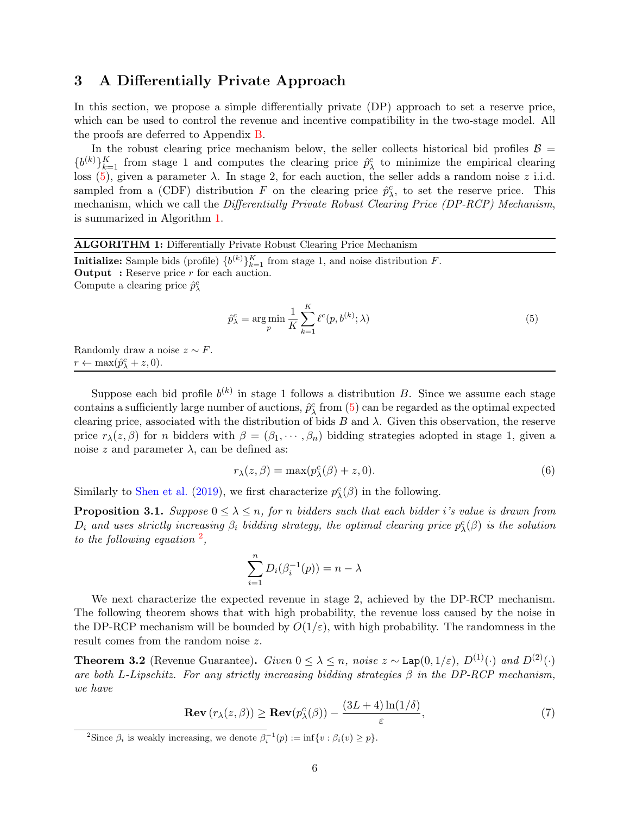## <span id="page-5-5"></span>3 A Differentially Private Approach

In this section, we propose a simple differentially private (DP) approach to set a reserve price, which can be used to control the revenue and incentive compatibility in the two-stage model. All the proofs are deferred to Appendix [B.](#page-14-0)

In the robust clearing price mechanism below, the seller collects historical bid profiles  $\beta =$  ${b^{(k)}}_{k=1}^K$  from stage 1 and computes the clearing price  $\hat{p}_{\lambda}^c$  to minimize the empirical clearing loss  $(5)$ , given a parameter  $\lambda$ . In stage 2, for each auction, the seller adds a random noise z i.i.d. sampled from a (CDF) distribution F on the clearing price  $\hat{p}_{\lambda}^c$ , to set the reserve price. This mechanism, which we call the Differentially Private Robust Clearing Price (DP-RCP) Mechanism, is summarized in Algorithm [1.](#page-5-2)

ALGORITHM 1: Differentially Private Robust Clearing Price Mechanism  
Initialize: Sample bids (profile) 
$$
\{b^{(k)}\}_{k=1}^{K}
$$
 from stage 1, and noise distribution *F*.  
Output : Reserve price *r* for each auction.  
Compute a clearing price  $\hat{p}_{\lambda}^{c}$   

$$
\hat{p}_{\lambda}^{c} = \arg \min \frac{1}{K} \sum_{i=1}^{K} \ell^{c}(p, b^{(k)}; \lambda)
$$
(5)

 $k=1$ 

<span id="page-5-1"></span>K

<span id="page-5-2"></span>Randomly draw a noise  $z \sim F$ .  $r \leftarrow \max(\hat{p}_{\lambda}^c + z, 0).$ 

Suppose each bid profile  $b^{(k)}$  in stage 1 follows a distribution B. Since we assume each stage contains a sufficiently large number of auctions,  $\hat{p}_{\lambda}^c$  from [\(5\)](#page-5-1) can be regarded as the optimal expected clearing price, associated with the distribution of bids B and  $\lambda$ . Given this observation, the reserve price  $r_{\lambda}(z,\beta)$  for n bidders with  $\beta = (\beta_1, \dots, \beta_n)$  bidding strategies adopted in stage 1, given a noise z and parameter  $\lambda$ , can be defined as:

$$
r_{\lambda}(z,\beta) = \max(p_{\lambda}^c(\beta) + z, 0). \tag{6}
$$

 $; \lambda)$  (5)

Similarly to [Shen et al.](#page-12-4) [\(2019\)](#page-12-4), we first characterize  $p_{\lambda}^{c}(\beta)$  in the following.

<span id="page-5-4"></span>**Proposition 3.1.** Suppose  $0 \leq \lambda \leq n$ , for n bidders such that each bidder i's value is drawn from  $D_i$  and uses strictly increasing  $\beta_i$  bidding strategy, the optimal clearing price  $p^c_\lambda(\beta)$  is the solution to the following equation  $\frac{2}{3}$  $\frac{2}{3}$  $\frac{2}{3}$ ,

$$
\sum_{i=1}^{n} D_i(\beta_i^{-1}(p)) = n - \lambda
$$

We next characterize the expected revenue in stage 2, achieved by the DP-RCP mechanism. The following theorem shows that with high probability, the revenue loss caused by the noise in the DP-RCP mechanism will be bounded by  $O(1/\varepsilon)$ , with high probability. The randomness in the result comes from the random noise z.

<span id="page-5-0"></span>**Theorem 3.2** (Revenue Guarantee). Given  $0 \leq \lambda \leq n$ , noise  $z \sim \text{Lap}(0, 1/\varepsilon)$ ,  $D^{(1)}(\cdot)$  and  $D^{(2)}(\cdot)$ are both L-Lipschitz. For any strictly increasing bidding strategies  $\beta$  in the DP-RCP mechanism, we have

$$
\mathbf{Rev}\left(r_{\lambda}(z,\beta)\right) \geq \mathbf{Rev}(p_{\lambda}^{c}(\beta)) - \frac{(3L+4)\ln(1/\delta)}{\varepsilon},\tag{7}
$$

<span id="page-5-3"></span><sup>2</sup>Since  $\beta_i$  is weakly increasing, we denote  $\beta_i^{-1}(p) := \inf \{v : \beta_i(v) \geq p\}.$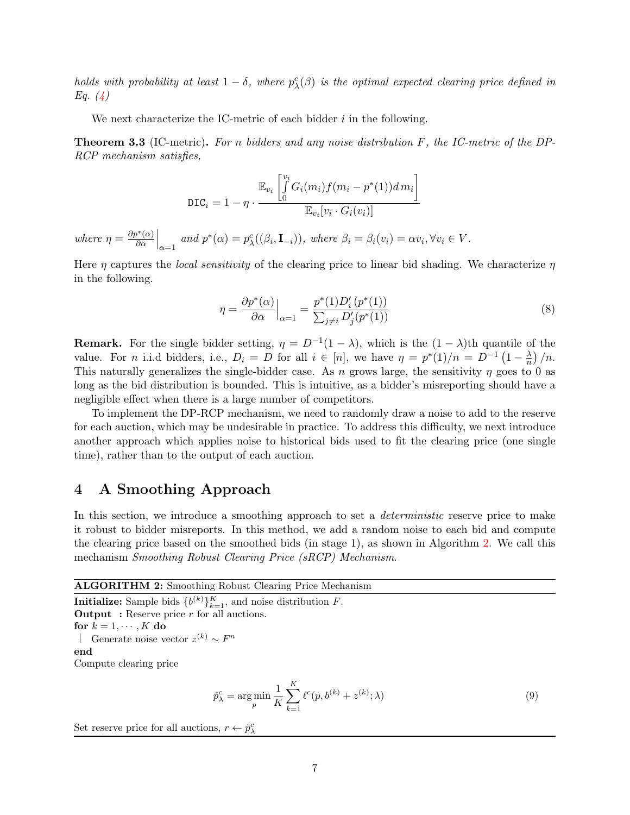holds with probability at least  $1 - \delta$ , where  $p_{\lambda}^c(\beta)$  is the optimal expected clearing price defined in Eq.  $(4)$ 

We next characterize the IC-metric of each bidder  $i$  in the following.

<span id="page-6-0"></span>**Theorem 3.3** (IC-metric). For n bidders and any noise distribution  $F$ , the IC-metric of the DP-RCP mechanism satisfies,

$$
\text{DIC}_i = 1 - \eta \cdot \frac{\mathbb{E}_{v_i} \left[ \int_0^{v_i} G_i(m_i) f(m_i - p^*(1)) dm_i \right]}{\mathbb{E}_{v_i} [v_i \cdot G_i(v_i)]}
$$

where  $\eta = \frac{\partial p^*(\alpha)}{\partial \alpha}$  $\left.\frac{\partial^*(\alpha)}{\partial \alpha}\right|_{\alpha=1}$  and  $p^*(\alpha) = p^c_\lambda((\beta_i, \mathbf{I}_{-i})),$  where  $\beta_i = \beta_i(v_i) = \alpha v_i, \forall v_i \in V$ .

Here  $\eta$  captures the *local sensitivity* of the clearing price to linear bid shading. We characterize  $\eta$ in the following.

<span id="page-6-3"></span>
$$
\eta = \frac{\partial p^*(\alpha)}{\partial \alpha}\Big|_{\alpha=1} = \frac{p^*(1)D_i'(p^*(1))}{\sum_{j \neq i} D_j'(p^*(1))}
$$
\n(8)

**Remark.** For the single bidder setting,  $\eta = D^{-1}(1 - \lambda)$ , which is the  $(1 - \lambda)$ th quantile of the value. For *n* i.i.d bidders, i.e.,  $D_i = D$  for all  $i \in [n]$ , we have  $\eta = p^*(1)/n = D^{-1}(1 - \frac{\lambda}{n})$  $\frac{\lambda}{n}\big)/n.$ This naturally generalizes the single-bidder case. As n grows large, the sensitivity  $\eta$  goes to 0 as long as the bid distribution is bounded. This is intuitive, as a bidder's misreporting should have a negligible effect when there is a large number of competitors.

To implement the DP-RCP mechanism, we need to randomly draw a noise to add to the reserve for each auction, which may be undesirable in practice. To address this difficulty, we next introduce another approach which applies noise to historical bids used to fit the clearing price (one single time), rather than to the output of each auction.

## <span id="page-6-4"></span>4 A Smoothing Approach

In this section, we introduce a smoothing approach to set a *deterministic* reserve price to make it robust to bidder misreports. In this method, we add a random noise to each bid and compute the clearing price based on the smoothed bids (in stage 1), as shown in Algorithm [2.](#page-6-1) We call this mechanism Smoothing Robust Clearing Price (sRCP) Mechanism.

ALGORITHM 2: Smoothing Robust Clearing Price Mechanism

**Initialize:** Sample bids  ${b^{(k)}}_{k=1}^K$ , and noise distribution F. **Output** : Reserve price  $r$  for all auctions. for  $k = 1, \dots, K$  do Generate noise vector  $z^{(k)} \sim F^n$ end

Compute clearing price

<span id="page-6-2"></span><span id="page-6-1"></span>
$$
\hat{p}_{\lambda}^{c} = \underset{p}{\arg\min} \frac{1}{K} \sum_{k=1}^{K} \ell^{c}(p, b^{(k)} + z^{(k)}; \lambda)
$$
\n(9)

Set reserve price for all auctions,  $r \leftarrow \hat{p}_{\lambda}^c$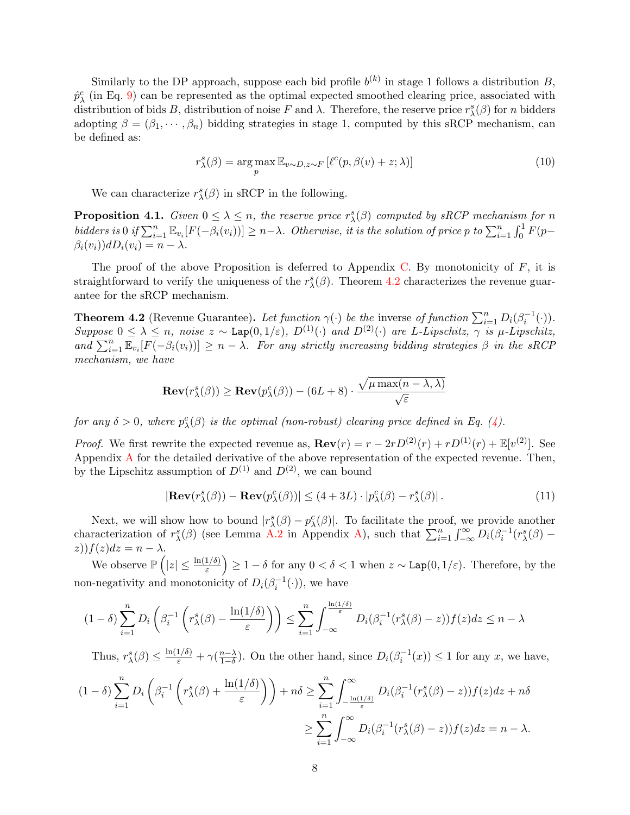Similarly to the DP approach, suppose each bid profile  $b^{(k)}$  in stage 1 follows a distribution B,  $\hat{p}_{\lambda}^c$  (in Eq. [9\)](#page-6-2) can be represented as the optimal expected smoothed clearing price, associated with distribution of bids B, distribution of noise F and  $\lambda$ . Therefore, the reserve price  $r_\lambda^s(\beta)$  for n bidders adopting  $\beta = (\beta_1, \dots, \beta_n)$  bidding strategies in stage 1, computed by this sRCP mechanism, can be defined as:

$$
r_{\lambda}^{s}(\beta) = \underset{p}{\arg\max} \mathbb{E}_{v \sim D, z \sim F} \left[ \ell^{c}(p, \beta(v) + z; \lambda) \right]
$$
 (10)

We can characterize  $r_{\lambda}^{s}(\beta)$  in sRCP in the following.

<span id="page-7-2"></span>**Proposition 4.1.** Given  $0 \leq \lambda \leq n$ , the reserve price  $r_{\lambda}^{s}(\beta)$  computed by sRCP mechanism for n bidders is 0 if  $\sum_{i=1}^n \mathbb{E}_{v_i} [F(-\beta_i(v_i))] \geq n-\lambda$ . Otherwise, it is the solution of price p to  $\sum_{i=1}^n \int_0^1 F(p-\lambda_i(v_i))$  $\beta_i(v_i))dD_i(v_i) = n - \lambda.$ 

The proof of the above Proposition is deferred to Appendix [C.](#page-16-0) By monotonicity of  $F$ , it is straightforward to verify the uniqueness of the  $r^s_{\lambda}(\beta)$ . Theorem [4.2](#page-7-0) characterizes the revenue guarantee for the sRCP mechanism.

<span id="page-7-0"></span>**Theorem 4.2** (Revenue Guarantee). Let function  $\gamma(\cdot)$  be the inverse of function  $\sum_{i=1}^{n} D_i(\beta_i^{-1}(\cdot))$ . Suppose  $0 \leq \lambda \leq n$ , noise  $z \sim \text{Lap}(0, 1/\varepsilon)$ ,  $D^{(1)}(\cdot)$  and  $D^{(2)}(\cdot)$  are L-Lipschitz,  $\gamma$  is  $\mu$ -Lipschitz, and  $\sum_{i=1}^n \mathbb{E}_{v_i}[F(-\beta_i(v_i))] \geq n - \lambda$ . For any strictly increasing bidding strategies  $\beta$  in the sRCP mechanism, we have

$$
\mathbf{Rev}(r^s_{\lambda}(\beta)) \geq \mathbf{Rev}(p^c_{\lambda}(\beta)) - (6L + 8) \cdot \frac{\sqrt{\mu \max(n - \lambda, \lambda)}}{\sqrt{\varepsilon}}
$$

for any  $\delta > 0$ , where  $p_{\lambda}^{c}(\beta)$  is the optimal (non-robust) clearing price defined in Eq. [\(4\)](#page-4-1).

*Proof.* We first rewrite the expected revenue as,  $\mathbf{Rev}(r) = r - 2rD^{(2)}(r) + rD^{(1)}(r) + \mathbb{E}[v^{(2)}]$ . See Appendix [A](#page-13-0) for the detailed derivative of the above representation of the expected revenue. Then, by the Lipschitz assumption of  $D^{(1)}$  and  $D^{(2)}$ , we can bound

<span id="page-7-1"></span>
$$
|\mathbf{Rev}(r^s_{\lambda}(\beta)) - \mathbf{Rev}(p^c_{\lambda}(\beta))| \le (4 + 3L) \cdot |p^c_{\lambda}(\beta) - r^s_{\lambda}(\beta)|.
$$
 (11)

Next, we will show how to bound  $|r_{\lambda}^{s}(\beta) - p_{\lambda}^{c}(\beta)|$ . To facilitate the proof, we provide another characterization of  $r_{\lambda}^{s}(\beta)$  (see Lemma [A.2](#page-13-1) in Appendix [A\)](#page-13-0), such that  $\sum_{i=1}^{n} \int_{-\infty}^{\infty} D_i(\beta_i^{-1}(r_{\lambda}^{s}(\beta) (z)$ f $(z)$ d $z = n - \lambda$ .

We observe  $\mathbb{P}\left(|z|\leq \frac{\ln(1/\delta)}{\varepsilon}\right) \geq 1-\delta$  for any  $0<\delta<1$  when  $z\sim \text{Lap}(0,1/\varepsilon)$ . Therefore, by the non-negativity and monotonicity of  $D_i(\beta_i^{-1}(\cdot))$ , we have

$$
(1-\delta)\sum_{i=1}^n D_i\left(\beta_i^{-1}\left(r_\lambda^s(\beta)-\frac{\ln(1/\delta)}{\varepsilon}\right)\right)\leq \sum_{i=1}^n \int_{-\infty}^{\frac{\ln(1/\delta)}{\varepsilon}} D_i(\beta_i^{-1}(r_\lambda^s(\beta)-z))f(z)dz\leq n-\lambda
$$

Thus,  $r_{\lambda}^{s}(\beta) \leq \frac{\ln(1/\delta)}{\varepsilon} + \gamma(\frac{n-\lambda}{1-\delta})$  $\frac{n-\lambda}{1-\delta}$ ). On the other hand, since  $D_i(\beta_i^{-1}(x)) \leq 1$  for any x, we have,

$$
(1 - \delta) \sum_{i=1}^{n} D_i \left( \beta_i^{-1} \left( r_\lambda^s(\beta) + \frac{\ln(1/\delta)}{\varepsilon} \right) \right) + n\delta \ge \sum_{i=1}^{n} \int_{-\frac{\ln(1/\delta)}{\varepsilon}}^{\infty} D_i(\beta_i^{-1}(r_\lambda^s(\beta) - z)) f(z) dz + n\delta
$$

$$
\ge \sum_{i=1}^{n} \int_{-\infty}^{\infty} D_i(\beta_i^{-1}(r_\lambda^s(\beta) - z)) f(z) dz = n - \lambda.
$$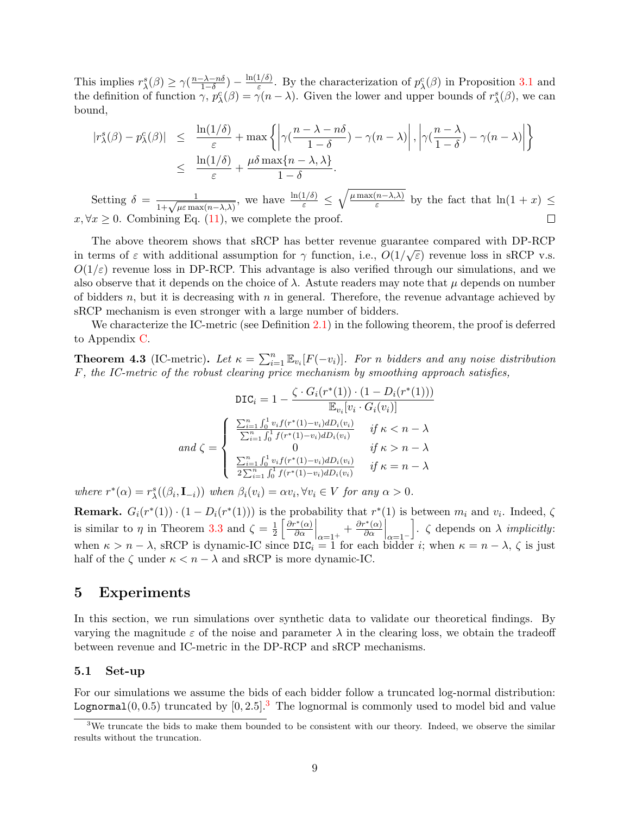This implies  $r_{\lambda}^{s}(\beta) \geq \gamma(\frac{n-\lambda-n\delta}{1-\delta})$  $\frac{-\lambda - n\delta}{1 - \delta}) - \frac{\ln(1/\delta)}{\varepsilon}$  $\frac{1}{\varepsilon}$ . By the characterization of  $p_{\lambda}^c(\beta)$  in Proposition [3.1](#page-5-4) and the definition of function  $\gamma$ ,  $p_{\lambda}^{c}(\beta) = \gamma(n-\lambda)$ . Given the lower and upper bounds of  $r_{\lambda}^{s}(\beta)$ , we can bound,

$$
\begin{array}{rcl}\n|r_{\lambda}^{s}(\beta) - p_{\lambda}^{c}(\beta)| & \leq & \frac{\ln(1/\delta)}{\varepsilon} + \max\left\{ \left| \gamma(\frac{n-\lambda - n\delta}{1-\delta}) - \gamma(n-\lambda) \right|, \left| \gamma(\frac{n-\lambda}{1-\delta}) - \gamma(n-\lambda) \right| \right\} \\
& \leq & \frac{\ln(1/\delta)}{\varepsilon} + \frac{\mu\delta \max\{n-\lambda, \lambda\}}{1-\delta}.\n\end{array}
$$

Setting  $\delta = \frac{1}{1 + \sqrt{\mu \varepsilon \max(n - \lambda, \lambda)}}$ , we have  $\frac{\ln(1/\delta)}{\varepsilon} \leq \sqrt{\frac{\mu \max(n - \lambda, \lambda)}{\varepsilon}}$  $\frac{n-\lambda}{\varepsilon}$  by the fact that  $\ln(1+x) \leq$  $x, \forall x \geq 0$ . Combining Eq. [\(11\)](#page-7-1), we complete the proof.  $\Box$ 

The above theorem shows that sRCP has better revenue guarantee compared with DP-RCP in terms of  $\varepsilon$  with additional assumption for  $\gamma$  function, i.e.,  $O(1/\sqrt{\varepsilon})$  revenue loss in sRCP v.s.  $O(1/\varepsilon)$  revenue loss in DP-RCP. This advantage is also verified through our simulations, and we also observe that it depends on the choice of  $\lambda$ . Astute readers may note that  $\mu$  depends on number of bidders n, but it is decreasing with n in general. Therefore, the revenue advantage achieved by sRCP mechanism is even stronger with a large number of bidders.

We characterize the IC-metric (see Definition [2.1\)](#page-4-2) in the following theorem, the proof is deferred to Appendix [C.](#page-16-0)

<span id="page-8-0"></span>**Theorem 4.3** (IC-metric). Let  $\kappa = \sum_{i=1}^{n} \mathbb{E}_{v_i} [F(-v_i)]$ . For n bidders and any noise distribution F, the IC-metric of the robust clearing price mechanism by smoothing approach satisfies,

$$
\text{DIC}_{i} = 1 - \frac{\zeta \cdot G_{i}(r^{*}(1)) \cdot (1 - D_{i}(r^{*}(1)))}{\mathbb{E}_{v_{i}}[v_{i} \cdot G_{i}(v_{i})]}
$$

$$
and \zeta = \begin{cases} \frac{\sum_{i=1}^{n} \int_{0}^{1} v_{i} f(r^{*}(1) - v_{i}) dD_{i}(v_{i})}{\sum_{i=1}^{n} \int_{0}^{1} f(r^{*}(1) - v_{i}) dD_{i}(v_{i})} & \text{if } \kappa < n - \lambda \\ 0 & \text{if } \kappa > n - \lambda \\ \frac{\sum_{i=1}^{n} \int_{0}^{1} v_{i} f(r^{*}(1) - v_{i}) dD_{i}(v_{i})}{2 \sum_{i=1}^{n} \int_{0}^{1} f(r^{*}(1) - v_{i}) dD_{i}(v_{i})} & \text{if } \kappa = n - \lambda \end{cases}
$$

where  $r^*(\alpha) = r^s_\lambda((\beta_i, \mathbf{I}_{-i}))$  when  $\beta_i(v_i) = \alpha v_i, \forall v_i \in V$  for any  $\alpha > 0$ .

**Remark.**  $G_i(r^*(1)) \cdot (1 - D_i(r^*(1)))$  is the probability that  $r^*(1)$  is between  $m_i$  and  $v_i$ . Indeed,  $\zeta$ is similar to  $\eta$  in Theorem [3.3](#page-6-0) and  $\zeta = \frac{1}{2}$  $rac{1}{2} \left[ \frac{\partial r^*(\alpha)}{\partial \alpha} \right]$  $\left. \frac{\partial \alpha}{\partial \alpha} \right|_{\alpha=1^+} + \frac{\partial r^*(\alpha)}{\partial \alpha}$  $\left.\frac{\partial^*(\alpha)}{\partial \alpha}\right|_{\alpha=1^-}$ .  $\zeta$  depends on  $\lambda$  *implicitly*: when  $\kappa > n - \lambda$ , sRCP is dynamic-IC since  $\text{DIC}_i = 1$  for each bidder *i*; when  $\kappa = n - \lambda$ ,  $\zeta$  is just half of the  $\zeta$  under  $\kappa < n - \lambda$  and sRCP is more dynamic-IC.

## 5 Experiments

In this section, we run simulations over synthetic data to validate our theoretical findings. By varying the magnitude  $\varepsilon$  of the noise and parameter  $\lambda$  in the clearing loss, we obtain the tradeoff between revenue and IC-metric in the DP-RCP and sRCP mechanisms.

### 5.1 Set-up

For our simulations we assume the bids of each bidder follow a truncated log-normal distribution: Lognormal $(0, 0.5)$  truncated by  $[0, 2.5]$ .<sup>[3](#page-8-1)</sup> The lognormal is commonly used to model bid and value

<span id="page-8-1"></span> $3W$ e truncate the bids to make them bounded to be consistent with our theory. Indeed, we observe the similar results without the truncation.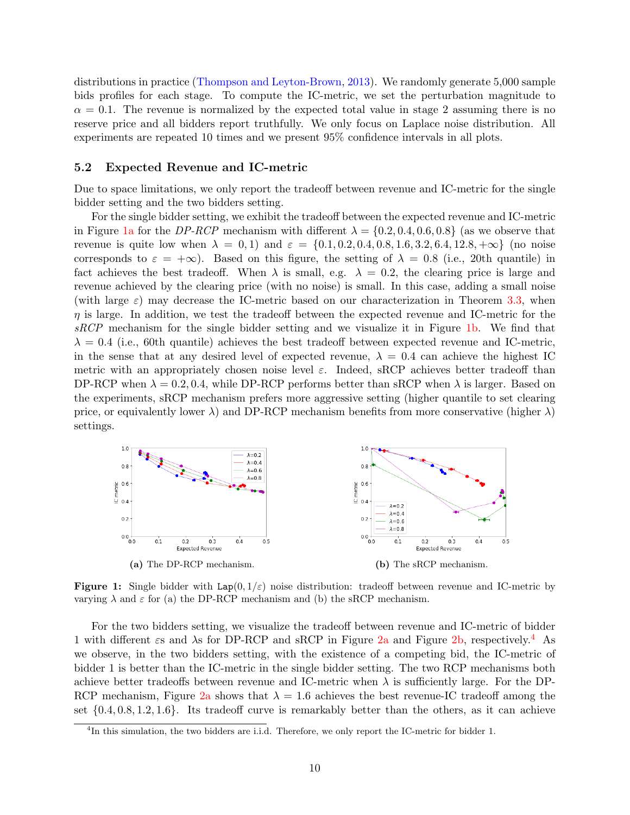distributions in practice [\(Thompson and Leyton-Brown,](#page-12-7) [2013\)](#page-12-7). We randomly generate 5,000 sample bids profiles for each stage. To compute the IC-metric, we set the perturbation magnitude to  $\alpha = 0.1$ . The revenue is normalized by the expected total value in stage 2 assuming there is no reserve price and all bidders report truthfully. We only focus on Laplace noise distribution. All experiments are repeated 10 times and we present 95% confidence intervals in all plots.

#### 5.2 Expected Revenue and IC-metric

Due to space limitations, we only report the tradeoff between revenue and IC-metric for the single bidder setting and the two bidders setting.

For the single bidder setting, we exhibit the tradeoff between the expected revenue and IC-metric in Figure [1a](#page-9-0) for the DP-RCP mechanism with different  $\lambda = \{0.2, 0.4, 0.6, 0.8\}$  (as we observe that revenue is quite low when  $\lambda = 0, 1$ ) and  $\varepsilon = \{0.1, 0.2, 0.4, 0.8, 1.6, 3.2, 6.4, 12.8, +\infty\}$  (no noise corresponds to  $\varepsilon = +\infty$ ). Based on this figure, the setting of  $\lambda = 0.8$  (i.e., 20th quantile) in fact achieves the best tradeoff. When  $\lambda$  is small, e.g.  $\lambda = 0.2$ , the clearing price is large and revenue achieved by the clearing price (with no noise) is small. In this case, adding a small noise (with large  $\varepsilon$ ) may decrease the IC-metric based on our characterization in Theorem [3.3,](#page-6-0) when  $\eta$  is large. In addition, we test the tradeoff between the expected revenue and IC-metric for the sRCP mechanism for the single bidder setting and we visualize it in Figure [1b.](#page-9-0) We find that  $\lambda = 0.4$  (i.e., 60th quantile) achieves the best tradeoff between expected revenue and IC-metric, in the sense that at any desired level of expected revenue,  $\lambda = 0.4$  can achieve the highest IC metric with an appropriately chosen noise level  $\varepsilon$ . Indeed, sRCP achieves better tradeoff than DP-RCP when  $\lambda = 0.2, 0.4$ , while DP-RCP performs better than sRCP when  $\lambda$  is larger. Based on the experiments, sRCP mechanism prefers more aggressive setting (higher quantile to set clearing price, or equivalently lower  $\lambda$ ) and DP-RCP mechanism benefits from more conservative (higher  $\lambda$ ) settings.

<span id="page-9-0"></span>

**Figure 1:** Single bidder with  $\text{Lap}(0, 1/\varepsilon)$  noise distribution: tradeoff between revenue and IC-metric by varying  $\lambda$  and  $\varepsilon$  for (a) the DP-RCP mechanism and (b) the sRCP mechanism.

For the two bidders setting, we visualize the tradeoff between revenue and IC-metric of bidder 1 with different  $\epsilon$ s and  $\lambda$ s for DP-RCP and sRCP in Figure [2a](#page-10-5) and Figure [2b,](#page-10-5) respectively.<sup>[4](#page-9-1)</sup> As we observe, in the two bidders setting, with the existence of a competing bid, the IC-metric of bidder 1 is better than the IC-metric in the single bidder setting. The two RCP mechanisms both achieve better tradeoffs between revenue and IC-metric when  $\lambda$  is sufficiently large. For the DP-RCP mechanism, Figure [2a](#page-10-5) shows that  $\lambda = 1.6$  achieves the best revenue-IC tradeoff among the set {0.4, 0.8, 1.2, 1.6}. Its tradeoff curve is remarkably better than the others, as it can achieve

<span id="page-9-1"></span><sup>&</sup>lt;sup>4</sup>In this simulation, the two bidders are i.i.d. Therefore, we only report the IC-metric for bidder 1.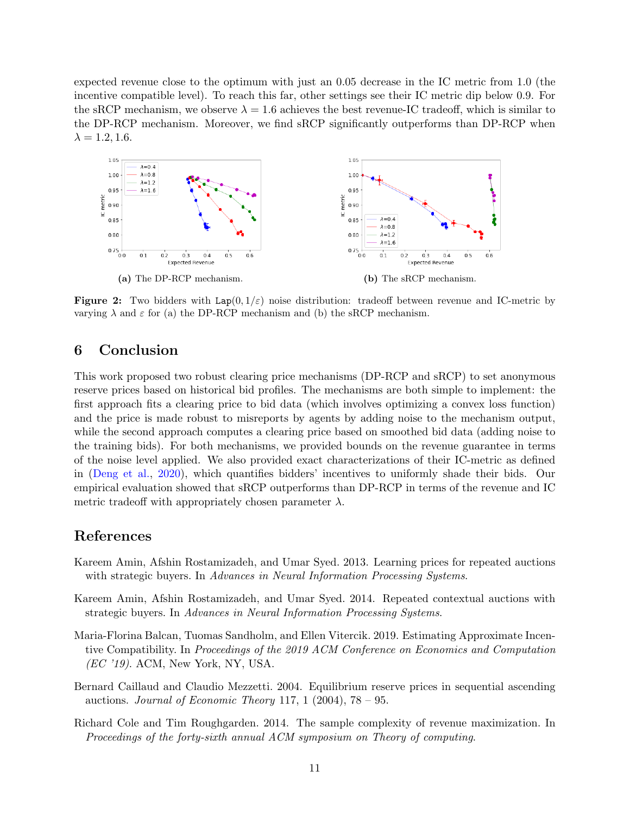expected revenue close to the optimum with just an 0.05 decrease in the IC metric from 1.0 (the incentive compatible level). To reach this far, other settings see their IC metric dip below 0.9. For the sRCP mechanism, we observe  $\lambda = 1.6$  achieves the best revenue-IC tradeoff, which is similar to the DP-RCP mechanism. Moreover, we find sRCP significantly outperforms than DP-RCP when  $\lambda = 1.2, 1.6.$ 

<span id="page-10-5"></span>

**Figure 2:** Two bidders with  $\text{Lap}(0, 1/\varepsilon)$  noise distribution: tradeoff between revenue and IC-metric by varying  $\lambda$  and  $\varepsilon$  for (a) the DP-RCP mechanism and (b) the sRCP mechanism.

## 6 Conclusion

This work proposed two robust clearing price mechanisms (DP-RCP and sRCP) to set anonymous reserve prices based on historical bid profiles. The mechanisms are both simple to implement: the first approach fits a clearing price to bid data (which involves optimizing a convex loss function) and the price is made robust to misreports by agents by adding noise to the mechanism output, while the second approach computes a clearing price based on smoothed bid data (adding noise to the training bids). For both mechanisms, we provided bounds on the revenue guarantee in terms of the noise level applied. We also provided exact characterizations of their IC-metric as defined in [\(Deng et al.,](#page-11-2) [2020\)](#page-11-2), which quantifies bidders' incentives to uniformly shade their bids. Our empirical evaluation showed that sRCP outperforms than DP-RCP in terms of the revenue and IC metric tradeoff with appropriately chosen parameter  $\lambda$ .

### References

- <span id="page-10-3"></span>Kareem Amin, Afshin Rostamizadeh, and Umar Syed. 2013. Learning prices for repeated auctions with strategic buyers. In Advances in Neural Information Processing Systems.
- <span id="page-10-4"></span>Kareem Amin, Afshin Rostamizadeh, and Umar Syed. 2014. Repeated contextual auctions with strategic buyers. In Advances in Neural Information Processing Systems.
- <span id="page-10-1"></span>Maria-Florina Balcan, Tuomas Sandholm, and Ellen Vitercik. 2019. Estimating Approximate Incentive Compatibility. In Proceedings of the 2019 ACM Conference on Economics and Computation (EC '19). ACM, New York, NY, USA.
- <span id="page-10-2"></span>Bernard Caillaud and Claudio Mezzetti. 2004. Equilibrium reserve prices in sequential ascending auctions. Journal of Economic Theory 117, 1 (2004),  $78 - 95$ .
- <span id="page-10-0"></span>Richard Cole and Tim Roughgarden. 2014. The sample complexity of revenue maximization. In Proceedings of the forty-sixth annual ACM symposium on Theory of computing.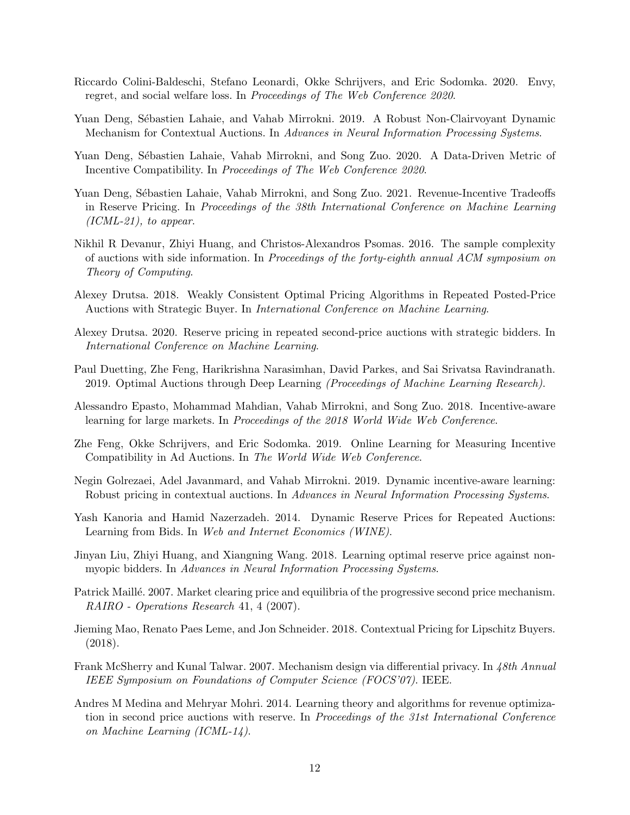- <span id="page-11-16"></span>Riccardo Colini-Baldeschi, Stefano Leonardi, Okke Schrijvers, and Eric Sodomka. 2020. Envy, regret, and social welfare loss. In Proceedings of The Web Conference 2020.
- <span id="page-11-11"></span>Yuan Deng, Sébastien Lahaie, and Vahab Mirrokni. 2019. A Robust Non-Clairvoyant Dynamic Mechanism for Contextual Auctions. In Advances in Neural Information Processing Systems.
- <span id="page-11-2"></span>Yuan Deng, Sébastien Lahaie, Vahab Mirrokni, and Song Zuo. 2020. A Data-Driven Metric of Incentive Compatibility. In Proceedings of The Web Conference 2020.
- <span id="page-11-5"></span>Yuan Deng, Sébastien Lahaie, Vahab Mirrokni, and Song Zuo. 2021. Revenue-Incentive Tradeoffs in Reserve Pricing. In Proceedings of the 38th International Conference on Machine Learning  $(ICML-21)$ , to appear.
- <span id="page-11-3"></span>Nikhil R Devanur, Zhiyi Huang, and Christos-Alexandros Psomas. 2016. The sample complexity of auctions with side information. In Proceedings of the forty-eighth annual ACM symposium on Theory of Computing.
- <span id="page-11-13"></span>Alexey Drutsa. 2018. Weakly Consistent Optimal Pricing Algorithms in Repeated Posted-Price Auctions with Strategic Buyer. In International Conference on Machine Learning.
- <span id="page-11-14"></span>Alexey Drutsa. 2020. Reserve pricing in repeated second-price auctions with strategic bidders. In International Conference on Machine Learning.
- <span id="page-11-4"></span>Paul Duetting, Zhe Feng, Harikrishna Narasimhan, David Parkes, and Sai Srivatsa Ravindranath. 2019. Optimal Auctions through Deep Learning (Proceedings of Machine Learning Research).
- <span id="page-11-8"></span>Alessandro Epasto, Mohammad Mahdian, Vahab Mirrokni, and Song Zuo. 2018. Incentive-aware learning for large markets. In Proceedings of the 2018 World Wide Web Conference.
- <span id="page-11-15"></span>Zhe Feng, Okke Schrijvers, and Eric Sodomka. 2019. Online Learning for Measuring Incentive Compatibility in Ad Auctions. In The World Wide Web Conference.
- <span id="page-11-10"></span>Negin Golrezaei, Adel Javanmard, and Vahab Mirrokni. 2019. Dynamic incentive-aware learning: Robust pricing in contextual auctions. In Advances in Neural Information Processing Systems.
- <span id="page-11-7"></span>Yash Kanoria and Hamid Nazerzadeh. 2014. Dynamic Reserve Prices for Repeated Auctions: Learning from Bids. In Web and Internet Economics (WINE).
- <span id="page-11-12"></span>Jinyan Liu, Zhiyi Huang, and Xiangning Wang. 2018. Learning optimal reserve price against nonmyopic bidders. In Advances in Neural Information Processing Systems.
- <span id="page-11-6"></span>Patrick Maillé. 2007. Market clearing price and equilibria of the progressive second price mechanism. RAIRO - Operations Research 41, 4 (2007).
- <span id="page-11-9"></span>Jieming Mao, Renato Paes Leme, and Jon Schneider. 2018. Contextual Pricing for Lipschitz Buyers. (2018).
- <span id="page-11-1"></span>Frank McSherry and Kunal Talwar. 2007. Mechanism design via differential privacy. In 48th Annual IEEE Symposium on Foundations of Computer Science (FOCS'07). IEEE.
- <span id="page-11-0"></span>Andres M Medina and Mehryar Mohri. 2014. Learning theory and algorithms for revenue optimization in second price auctions with reserve. In Proceedings of the 31st International Conference on Machine Learning (ICML-14).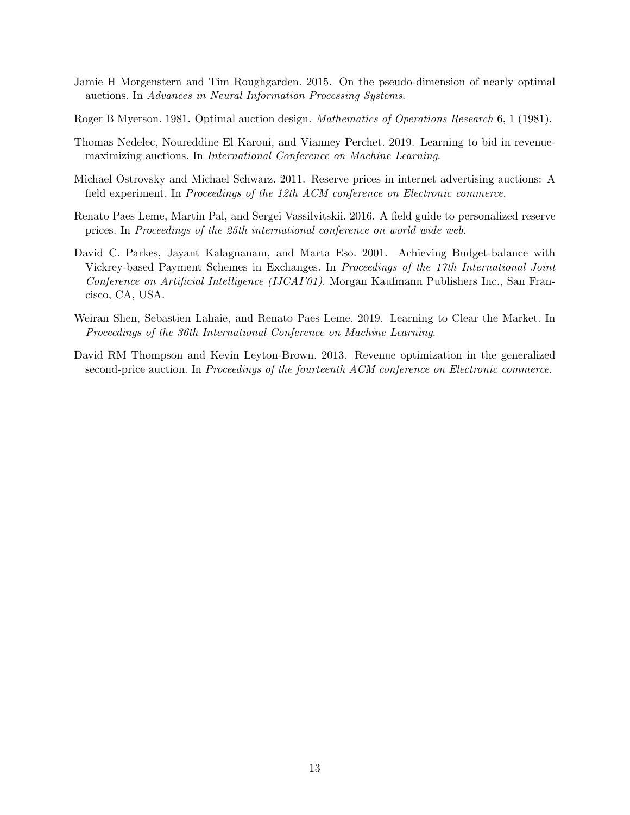- <span id="page-12-2"></span>Jamie H Morgenstern and Tim Roughgarden. 2015. On the pseudo-dimension of nearly optimal auctions. In Advances in Neural Information Processing Systems.
- <span id="page-12-1"></span>Roger B Myerson. 1981. Optimal auction design. Mathematics of Operations Research 6, 1 (1981).
- <span id="page-12-5"></span>Thomas Nedelec, Noureddine El Karoui, and Vianney Perchet. 2019. Learning to bid in revenuemaximizing auctions. In International Conference on Machine Learning.
- <span id="page-12-3"></span>Michael Ostrovsky and Michael Schwarz. 2011. Reserve prices in internet advertising auctions: A field experiment. In Proceedings of the 12th ACM conference on Electronic commerce.
- <span id="page-12-0"></span>Renato Paes Leme, Martin Pal, and Sergei Vassilvitskii. 2016. A field guide to personalized reserve prices. In Proceedings of the 25th international conference on world wide web.
- <span id="page-12-6"></span>David C. Parkes, Jayant Kalagnanam, and Marta Eso. 2001. Achieving Budget-balance with Vickrey-based Payment Schemes in Exchanges. In Proceedings of the 17th International Joint Conference on Artificial Intelligence (IJCAI'01). Morgan Kaufmann Publishers Inc., San Francisco, CA, USA.
- <span id="page-12-4"></span>Weiran Shen, Sebastien Lahaie, and Renato Paes Leme. 2019. Learning to Clear the Market. In Proceedings of the 36th International Conference on Machine Learning.
- <span id="page-12-7"></span>David RM Thompson and Kevin Leyton-Brown. 2013. Revenue optimization in the generalized second-price auction. In *Proceedings of the fourteenth ACM conference on Electronic commerce.*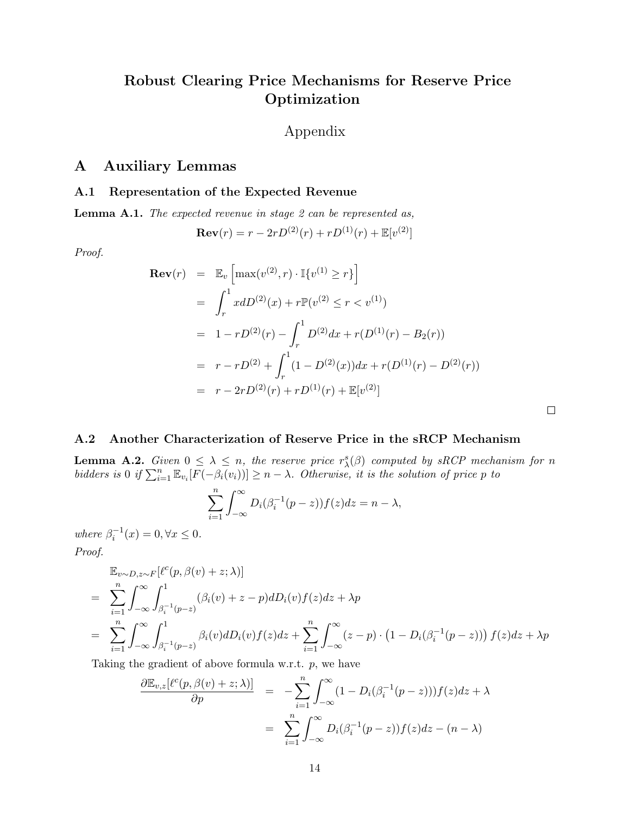# Robust Clearing Price Mechanisms for Reserve Price Optimization

# Appendix

# <span id="page-13-0"></span>A Auxiliary Lemmas

### A.1 Representation of the Expected Revenue

<span id="page-13-2"></span>Lemma A.1. The expected revenue in stage 2 can be represented as,

$$
\mathbf{Rev}(r) = r - 2rD^{(2)}(r) + rD^{(1)}(r) + \mathbb{E}[v^{(2)}]
$$

Proof.

$$
\begin{aligned}\n\textbf{Rev}(r) &= \mathbb{E}_v \left[ \max(v^{(2)}, r) \cdot \mathbb{I}\{v^{(1)} \ge r\} \right] \\
&= \int_r^1 x dD^{(2)}(x) + r \mathbb{P}(v^{(2)} \le r < v^{(1)}) \\
&= 1 - r D^{(2)}(r) - \int_r^1 D^{(2)} dx + r(D^{(1)}(r) - B_2(r)) \\
&= r - r D^{(2)} + \int_r^1 (1 - D^{(2)}(x)) dx + r(D^{(1)}(r) - D^{(2)}(r)) \\
&= r - 2r D^{(2)}(r) + r D^{(1)}(r) + \mathbb{E}[v^{(2)}]\n\end{aligned}
$$

 $\Box$ 

### A.2 Another Characterization of Reserve Price in the sRCP Mechanism

<span id="page-13-1"></span>**Lemma A.2.** Given  $0 \leq \lambda \leq n$ , the reserve price  $r_{\lambda}^{s}(\beta)$  computed by sRCP mechanism for n bidders is 0 if  $\sum_{i=1}^n \mathbb{E}_{v_i} [F(-\beta_i(v_i))] \geq n - \lambda$ . Otherwise, it is the solution of price p to

$$
\sum_{i=1}^{n} \int_{-\infty}^{\infty} D_i(\beta_i^{-1}(p-z)) f(z) dz = n - \lambda,
$$

where  $\beta_i^{-1}(x) = 0, \forall x \leq 0$ .

Proof.

$$
\mathbb{E}_{v \sim D, z \sim F}[\ell^{c}(p, \beta(v) + z; \lambda)]
$$
\n
$$
= \sum_{i=1}^{n} \int_{-\infty}^{\infty} \int_{\beta_{i}^{-1}(p-z)}^{1} (\beta_{i}(v) + z - p) dD_{i}(v) f(z) dz + \lambda p
$$
\n
$$
= \sum_{i=1}^{n} \int_{-\infty}^{\infty} \int_{\beta_{i}^{-1}(p-z)}^{1} \beta_{i}(v) dD_{i}(v) f(z) dz + \sum_{i=1}^{n} \int_{-\infty}^{\infty} (z - p) \cdot (1 - D_{i}(\beta_{i}^{-1}(p-z))) f(z) dz + \lambda p
$$

Taking the gradient of above formula w.r.t.  $p$ , we have

$$
\frac{\partial \mathbb{E}_{v,z}[\ell^c(p,\beta(v)+z;\lambda)]}{\partial p} = -\sum_{i=1}^n \int_{-\infty}^\infty (1 - D_i(\beta_i^{-1}(p-z)))f(z)dz + \lambda
$$

$$
= \sum_{i=1}^n \int_{-\infty}^\infty D_i(\beta_i^{-1}(p-z))f(z)dz - (n-\lambda)
$$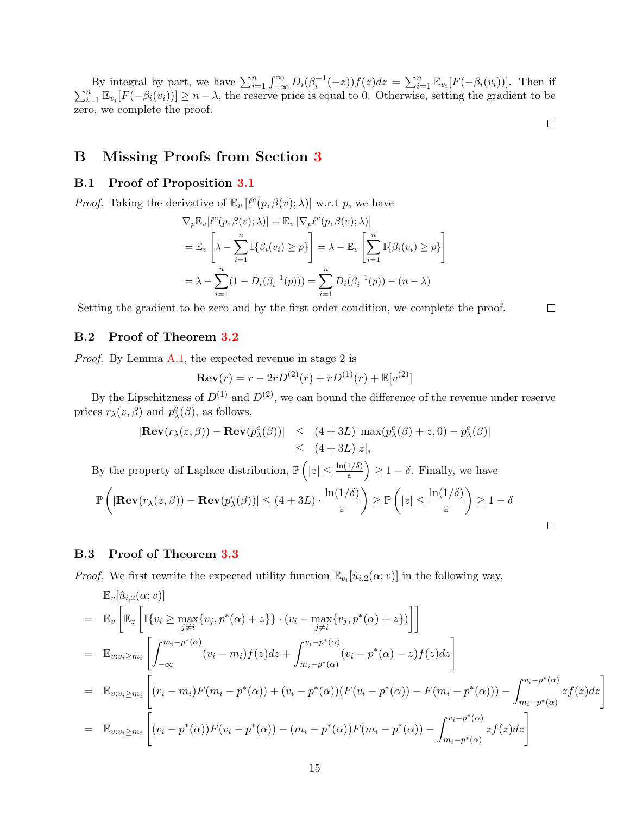By integral by part, we have  $\sum_{i=1}^{n} \int_{-\infty}^{\infty} D_i(\beta_i^{-1}(-z)) f(z) dz = \sum_{i=1}^{n} \mathbb{E}_{v_i} [F(-\beta_i(v_i))]$ . Then if  $\sum_{i=1}^{n} \mathbb{E}_{v_i} [F(-\beta_i(v_i))] \geq n - \lambda$ , the reserve price is equal to 0. Otherwise, setting the gradient to be zero, we complete the proof.

 $\Box$ 

 $\Box$ 

## <span id="page-14-0"></span>B Missing Proofs from Section [3](#page-5-5)

### B.1 Proof of Proposition [3.1](#page-5-4)

*Proof.* Taking the derivative of  $\mathbb{E}_v \left[ \ell^c(p, \beta(v); \lambda) \right]$  w.r.t p, we have

$$
\nabla_p \mathbb{E}_v[\ell^c(p, \beta(v); \lambda)] = \mathbb{E}_v [\nabla_p \ell^c(p, \beta(v); \lambda)]
$$
  
=  $\mathbb{E}_v \left[ \lambda - \sum_{i=1}^n \mathbb{I}\{\beta_i(v_i) \ge p\} \right] = \lambda - \mathbb{E}_v \left[ \sum_{i=1}^n \mathbb{I}\{\beta_i(v_i) \ge p\} \right]$   
=  $\lambda - \sum_{i=1}^n (1 - D_i(\beta_i^{-1}(p))) = \sum_{i=1}^n D_i(\beta_i^{-1}(p)) - (n - \lambda)$ 

Setting the gradient to be zero and by the first order condition, we complete the proof.

### B.2 Proof of Theorem [3.2](#page-5-0)

Proof. By Lemma [A.1,](#page-13-2) the expected revenue in stage 2 is

$$
\mathbf{Rev}(r) = r - 2rD^{(2)}(r) + rD^{(1)}(r) + \mathbb{E}[v^{(2)}]
$$

By the Lipschitzness of  $D^{(1)}$  and  $D^{(2)}$ , we can bound the difference of the revenue under reserve prices  $r_{\lambda}(z,\beta)$  and  $p_{\lambda}^{c}(\beta)$ , as follows,

$$
|\mathbf{Rev}(r_{\lambda}(z,\beta)) - \mathbf{Rev}(p_{\lambda}^{c}(\beta))| \le (4+3L)| \max(p_{\lambda}^{c}(\beta) + z, 0) - p_{\lambda}^{c}(\beta)|
$$
  
\$\le (4+3L)|z|\$,

By the property of Laplace distribution,  $\mathbb{P}\left(|z| \leq \frac{\ln(1/\delta)}{\varepsilon}\right) \geq 1-\delta$ . Finally, we have

$$
\mathbb{P}\left(\left|\mathbf{Rev}(r_{\lambda}(z,\beta)) - \mathbf{Rev}(p_{\lambda}^{c}(\beta))\right| \leq (4+3L) \cdot \frac{\ln(1/\delta)}{\varepsilon}\right) \geq \mathbb{P}\left(|z| \leq \frac{\ln(1/\delta)}{\varepsilon}\right) \geq 1-\delta
$$

### B.3 Proof of Theorem [3.3](#page-6-0)

*Proof.* We first rewrite the expected utility function  $\mathbb{E}_{v_i}[\hat{u}_{i,2}(\alpha; v)]$  in the following way,

$$
\mathbb{E}_{v}[\hat{u}_{i,2}(\alpha; v)]
$$
\n
$$
= \mathbb{E}_{v} \left[ \mathbb{E}_{z} \left[ \mathbb{I}\{v_{i} \geq \max_{j \neq i} \{v_{j}, p^{*}(\alpha) + z\} \} \cdot (v_{i} - \max_{j \neq i} \{v_{j}, p^{*}(\alpha) + z\}) \right] \right]
$$
\n
$$
= \mathbb{E}_{v:v_{i} \geq m_{i}} \left[ \int_{-\infty}^{m_{i} - p^{*}(\alpha)} (v_{i} - m_{i}) f(z) dz + \int_{m_{i} - p^{*}(\alpha)}^{v_{i} - p^{*}(\alpha)} (v_{i} - p^{*}(\alpha) - z) f(z) dz \right]
$$
\n
$$
= \mathbb{E}_{v:v_{i} \geq m_{i}} \left[ (v_{i} - m_{i}) F(m_{i} - p^{*}(\alpha)) + (v_{i} - p^{*}(\alpha)) (F(v_{i} - p^{*}(\alpha)) - F(m_{i} - p^{*}(\alpha))) - \int_{m_{i} - p^{*}(\alpha)}^{v_{i} - p^{*}(\alpha)} z f(z) dz \right]
$$
\n
$$
= \mathbb{E}_{v:v_{i} \geq m_{i}} \left[ (v_{i} - p^{*}(\alpha)) F(v_{i} - p^{*}(\alpha)) - (m_{i} - p^{*}(\alpha)) F(m_{i} - p^{*}(\alpha)) - \int_{m_{i} - p^{*}(\alpha)}^{v_{i} - p^{*}(\alpha)} z f(z) dz \right]
$$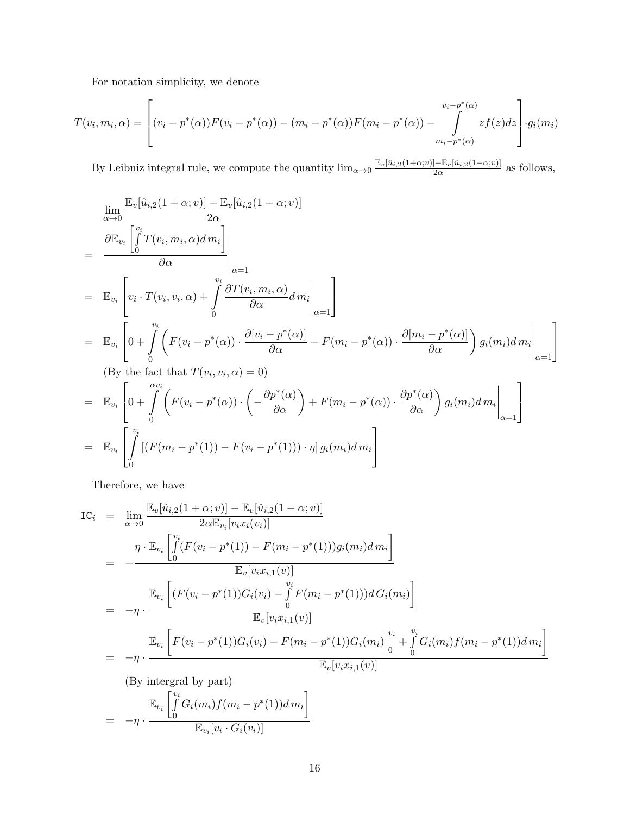For notation simplicity, we denote

$$
T(v_i, m_i, \alpha) = \left[ (v_i - p^*(\alpha)) F(v_i - p^*(\alpha)) - (m_i - p^*(\alpha)) F(m_i - p^*(\alpha)) - \int_{m_i - p^*(\alpha)}^{v_i - p^*(\alpha)} z f(z) dz \right] \cdot g_i(m_i)
$$

By Leibniz integral rule, we compute the quantity  $\lim_{\alpha\to 0} \frac{\mathbb{E}_{v}[\hat{u}_{i,2}(1+\alpha;v)] - \mathbb{E}_{v}[\hat{u}_{i,2}(1-\alpha;v)]}{2\alpha}$  $rac{2\alpha}{2\alpha}$  as follows,

$$
\lim_{\alpha \to 0} \frac{\mathbb{E}_{v}[\hat{u}_{i,2}(1+\alpha; v)] - \mathbb{E}_{v}[\hat{u}_{i,2}(1-\alpha; v)]}{2\alpha}
$$
\n
$$
= \frac{\partial \mathbb{E}_{v_{i}}\left[\int_{0}^{v_{i}} T(v_{i}, m_{i}, \alpha) d m_{i}\right]}{\partial \alpha} \Bigg|_{\alpha=1}
$$
\n
$$
= \mathbb{E}_{v_{i}}\left[v_{i} \cdot T(v_{i}, v_{i}, \alpha) + \int_{0}^{v_{i}} \frac{\partial T(v_{i}, m_{i}, \alpha)}{\partial \alpha} d m_{i} \Big|_{\alpha=1}\right]
$$
\n
$$
= \mathbb{E}_{v_{i}}\left[0 + \int_{0}^{v_{i}} \left(F(v_{i} - p^{*}(\alpha)) \cdot \frac{\partial [v_{i} - p^{*}(\alpha)]}{\partial \alpha} - F(m_{i} - p^{*}(\alpha)) \cdot \frac{\partial [m_{i} - p^{*}(\alpha)]}{\partial \alpha}\right) g_{i}(m_{i}) d m_{i} \Big|_{\alpha=1}\right]
$$

(By the fact that  $T(v_i, v_i, \alpha) = 0$ )

$$
= \mathbb{E}_{v_i} \left[ 0 + \int\limits_0^{\alpha v_i} \left( F(v_i - p^*(\alpha)) \cdot \left( -\frac{\partial p^*(\alpha)}{\partial \alpha} \right) + F(m_i - p^*(\alpha)) \cdot \frac{\partial p^*(\alpha)}{\partial \alpha} \right) g_i(m_i) dm_i \Bigg|_{\alpha=1} \right]
$$
  

$$
= \mathbb{E}_{v_i} \left[ \int\limits_0^{v_i} \left[ \left( F(m_i - p^*(1)) - F(v_i - p^*(1)) \right) \cdot \eta \right] g_i(m_i) dm_i \right]
$$

Therefore, we have

$$
IC_{i} = \lim_{\alpha \to 0} \frac{\mathbb{E}_{v}[\hat{u}_{i,2}(1+\alpha; v)] - \mathbb{E}_{v}[\hat{u}_{i,2}(1-\alpha; v)]}{2\alpha \mathbb{E}_{v_{i}}[v_{i}x_{i}(v_{i})]}
$$
  
\n
$$
= -\frac{\eta \cdot \mathbb{E}_{v_{i}}\left[\int_{0}^{v_{i}} (F(v_{i}-p^{*}(1)) - F(m_{i}-p^{*}(1)))g_{i}(m_{i})dm_{i}\right]}{\mathbb{E}_{v}[v_{i}x_{i,1}(v)]}
$$
  
\n
$$
= -\eta \cdot \frac{\mathbb{E}_{v_{i}}\left[ (F(v_{i}-p^{*}(1))G_{i}(v_{i}) - \int_{0}^{v_{i}} F(m_{i}-p^{*}(1)))dG_{i}(m_{i}) \right]}{\mathbb{E}_{v}[v_{i}x_{i,1}(v)]}
$$
  
\n
$$
= -\eta \cdot \frac{\mathbb{E}_{v_{i}}\left[F(v_{i}-p^{*}(1))G_{i}(v_{i}) - F(m_{i}-p^{*}(1))G_{i}(m_{i})\right]_{0}^{v_{i}} + \int_{0}^{v_{i}} G_{i}(m_{i})f(m_{i}-p^{*}(1))dm_{i}\right]}{\mathbb{E}_{v}[v_{i}x_{i,1}(v)]}
$$
  
\n(By integral by part)  
\n
$$
= -\eta \cdot \frac{\mathbb{E}_{v_{i}}\left[\int_{0}^{v_{i}} G_{i}(m_{i})f(m_{i}-p^{*}(1))dm_{i}\right]}{\mathbb{E}_{v}[v_{i} \cdot G_{i}(v_{i})]}
$$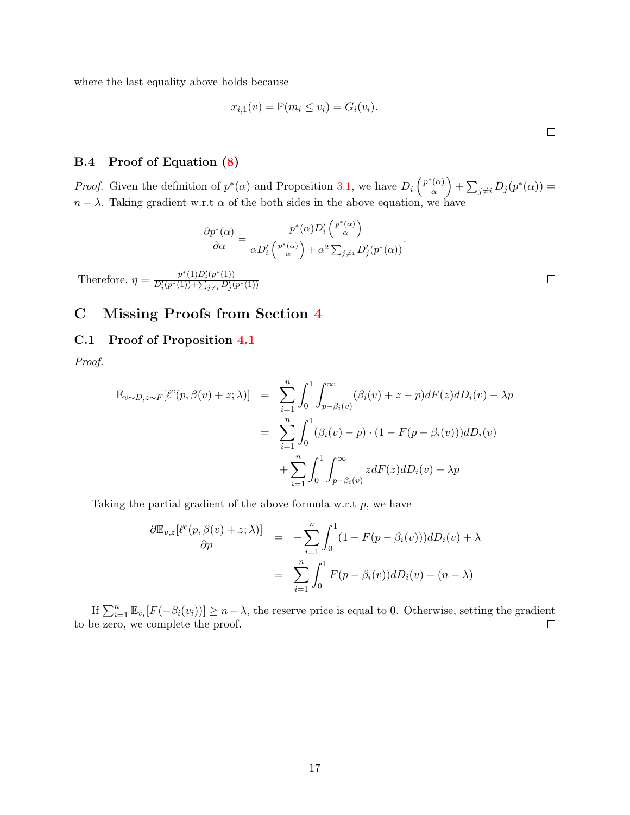where the last equality above holds because

$$
x_{i,1}(v) = \mathbb{P}(m_i \le v_i) = G_i(v_i).
$$

.

### B.4 Proof of Equation [\(8\)](#page-6-3)

*Proof.* Given the definition of  $p^*(\alpha)$  and Proposition [3.1,](#page-5-4) we have  $D_i\left(\frac{p^*(\alpha)}{\alpha}\right)$  $\left(\frac{\alpha}{\alpha}\right)$  +  $\sum_{j\neq i} D_j(p^*(\alpha))$  =  $n - \lambda$ . Taking gradient w.r.t  $\alpha$  of the both sides in the above equation, we have

 $\overline{a}$ 

$$
\frac{\partial p^*(\alpha)}{\partial \alpha} = \frac{p^*(\alpha)D_i'\left(\frac{p^*(\alpha)}{\alpha}\right)}{\alpha D_i'\left(\frac{p^*(\alpha)}{\alpha}\right) + \alpha^2 \sum_{j \neq i} D_j'(p^*(\alpha))}
$$

Therefore,  $\eta = \frac{p^*(1)D_i'(p^*(1))}{D'(p^*(1)) + \sum_{i=1}^k D'_i(p^*(1))}$  $D_i'(p^*(1)) + \sum_{j \neq i} D_j'(p^*(1))$ 

# <span id="page-16-0"></span>C Missing Proofs from Section [4](#page-6-4)

### C.1 Proof of Proposition [4.1](#page-7-2)

Proof.

$$
\mathbb{E}_{v \sim D, z \sim F}[\ell^{c}(p, \beta(v) + z; \lambda)] = \sum_{i=1}^{n} \int_{0}^{1} \int_{p-\beta_{i}(v)}^{\infty} (\beta_{i}(v) + z - p) dF(z) dD_{i}(v) + \lambda p
$$
  

$$
= \sum_{i=1}^{n} \int_{0}^{1} (\beta_{i}(v) - p) \cdot (1 - F(p - \beta_{i}(v))) dD_{i}(v)
$$
  

$$
+ \sum_{i=1}^{n} \int_{0}^{1} \int_{p-\beta_{i}(v)}^{\infty} z dF(z) dD_{i}(v) + \lambda p
$$

Taking the partial gradient of the above formula w.r.t  $p$ , we have

$$
\frac{\partial \mathbb{E}_{v,z}[\ell^c(p,\beta(v)+z;\lambda)]}{\partial p} = -\sum_{i=1}^n \int_0^1 (1 - F(p-\beta_i(v))) dD_i(v) + \lambda
$$

$$
= \sum_{i=1}^n \int_0^1 F(p-\beta_i(v)) dD_i(v) - (n-\lambda)
$$

If  $\sum_{i=1}^n \mathbb{E}_{v_i}[F(-\beta_i(v_i))] \geq n - \lambda$ , the reserve price is equal to 0. Otherwise, setting the gradient to be zero, we complete the proof.  $\Box$ 

 $\Box$